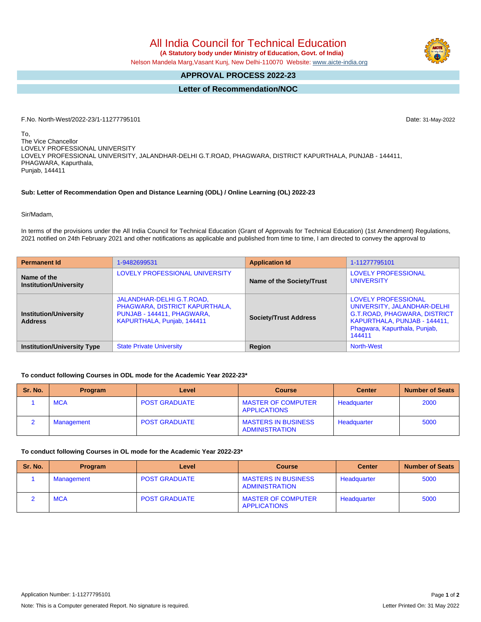All India Council for Technical Education  **(A Statutory body under Ministry of Education, Govt. of India)**

Nelson Mandela Marg,Vasant Kunj, New Delhi-110070 Website: [www.aicte-india.org](http://www.aicte-india.org)

# **APPROVAL PROCESS 2022-23**

**Letter of Recommendation/NOC**

F.No. North-West/2022-23/1-11277795101 Date: 31-May-2022

To, The Vice Chancellor LOVELY PROFESSIONAL UNIVERSITY LOVELY PROFESSIONAL UNIVERSITY, JALANDHAR-DELHI G.T.ROAD, PHAGWARA, DISTRICT KAPURTHALA, PUNJAB - 144411, PHAGWARA, Kapurthala, Punjab, 144411

### **Sub: Letter of Recommendation Open and Distance Learning (ODL) / Online Learning (OL) 2022-23**

Sir/Madam,

In terms of the provisions under the All India Council for Technical Education (Grant of Approvals for Technical Education) (1st Amendment) Regulations, 2021 notified on 24th February 2021 and other notifications as applicable and published from time to time, I am directed to convey the approval to

| <b>Permanent Id</b>                             | 1-9482699531                                                                                                            | <b>Application Id</b>        | 1-11277795101                                                                                                                                                               |  |  |
|-------------------------------------------------|-------------------------------------------------------------------------------------------------------------------------|------------------------------|-----------------------------------------------------------------------------------------------------------------------------------------------------------------------------|--|--|
| Name of the<br><b>Institution/University</b>    | LOVELY PROFESSIONAL UNIVERSITY                                                                                          | Name of the Society/Trust    | LOVELY PROFESSIONAL<br><b>UNIVERSITY</b>                                                                                                                                    |  |  |
| <b>Institution/University</b><br><b>Address</b> | JALANDHAR-DELHI G.T.ROAD,<br>PHAGWARA, DISTRICT KAPURTHALA,<br>PUNJAB - 144411, PHAGWARA,<br>KAPURTHALA, Punjab, 144411 | <b>Society/Trust Address</b> | <b>LOVELY PROFESSIONAL</b><br>UNIVERSITY, JALANDHAR-DELHI<br><b>G.T.ROAD, PHAGWARA, DISTRICT</b><br>KAPURTHALA, PUNJAB - 144411,<br>Phagwara, Kapurthala, Punjab,<br>144411 |  |  |
| <b>Institution/University Type</b>              | <b>State Private University</b>                                                                                         | Region                       | <b>North-West</b>                                                                                                                                                           |  |  |

### **To conduct following Courses in ODL mode for the Academic Year 2022-23\***

| Sr. No. | <b>Program</b> | Level                | <b>Course</b>                                    | <b>Center</b> | <b>Number of Seats</b> |
|---------|----------------|----------------------|--------------------------------------------------|---------------|------------------------|
|         | <b>MCA</b>     | <b>POST GRADUATE</b> | <b>MASTER OF COMPUTER</b><br><b>APPLICATIONS</b> | Headquarter   | 2000                   |
|         | Management     | <b>POST GRADUATE</b> | <b>MASTERS IN BUSINESS</b><br>ADMINISTRATION     | Headquarter   | 5000                   |

#### **To conduct following Courses in OL mode for the Academic Year 2022-23\***

| Sr. No. | <b>Program</b> | Level                | <b>Course</b>                                    | <b>Center</b> | <b>Number of Seats</b> |
|---------|----------------|----------------------|--------------------------------------------------|---------------|------------------------|
|         | Management     | <b>POST GRADUATE</b> | <b>MASTERS IN BUSINESS</b><br>ADMINISTRATION     | Headquarter   | 5000                   |
|         | <b>MCA</b>     | <b>POST GRADUATE</b> | <b>MASTER OF COMPUTER</b><br><b>APPLICATIONS</b> | Headquarter   | 5000                   |